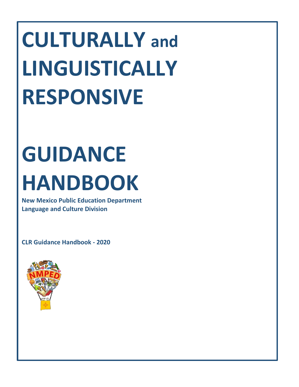# **CULTURALLY and LINGUISTICALLY RESPONSIVE**

# **GUIDANCE HANDBOOK**

**New Mexico Public Education Department Language and Culture Division**

**CLR Guidance Handbook - 2020**

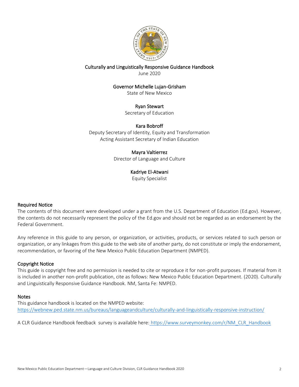

Culturally and Linguistically Responsive Guidance Handbook June 2020

## Governor Michelle Lujan-Grisham

State of New Mexico

Ryan Stewart

Secretary of Education

#### Kara Bobroff

Deputy Secretary of Identity, Equity and Transformation Acting Assistant Secretary of Indian Education

### Mayra Valtierrez

Director of Language and Culture

### Kadriye El-Atwani

Equity Specialist

#### Required Notice

The contents of this document were developed under a grant from the U.S. Department of Education (Ed.gov). However, the contents do not necessarily represent the policy of the Ed.gov and should not be regarded as an endorsement by the Federal Government.

Any reference in this guide to any person, or organization, or activities, products, or services related to such person or organization, or any linkages from this guide to the web site of another party, do not constitute or imply the endorsement, recommendation, or favoring of the New Mexico Public Education Department (NMPED).

#### Copyright Notice

This guide is copyright free and no permission is needed to cite or reproduce it for non-profit purposes. If material from it is included in another non-profit publication, cite as follows: New Mexico Public Education Department. (2020). Culturally and Linguistically Responsive Guidance Handbook. NM, Santa Fe: NMPED.

#### **Notes**

This guidance handbook is located on the NMPED website: <https://webnew.ped.state.nm.us/bureaus/languageandculture/culturally-and-linguistically-responsive-instruction/>

A CLR Guidance Handbook feedback survey is available here: [https://www.surveymonkey.com/r/NM\\_CLR\\_Handbook](https://www.surveymonkey.com/r/NM_CLR_Handbook)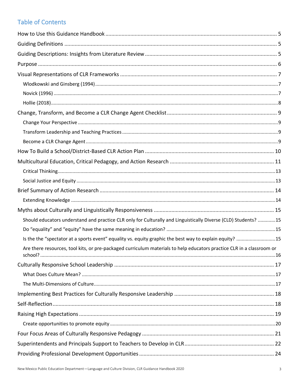# **Table of Contents**

| Should educators understand and practice CLR only for Culturally and Linguistically Diverse (CLD) Students? 15        |  |
|-----------------------------------------------------------------------------------------------------------------------|--|
|                                                                                                                       |  |
| Is the the "spectator at a sports event" equality vs. equity graphic the best way to explain equity? 15               |  |
| Are there resources, tool kits, or pre-packaged curriculum materials to help educators practice CLR in a classroom or |  |
|                                                                                                                       |  |
|                                                                                                                       |  |
|                                                                                                                       |  |
|                                                                                                                       |  |
|                                                                                                                       |  |
|                                                                                                                       |  |
|                                                                                                                       |  |
|                                                                                                                       |  |
|                                                                                                                       |  |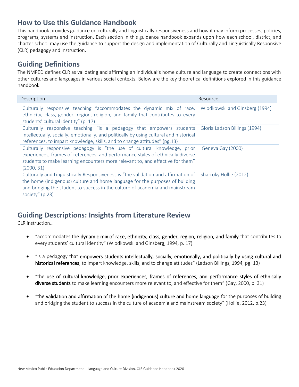# <span id="page-4-0"></span>**How to Use this Guidance Handbook**

This handbook provides guidance on culturally and linguistically responsiveness and how it may inform processes, policies, programs, systems and instruction. Each section in this guidance handbook expands upon how each school, district, and charter school may use the guidance to support the design and implementation of Culturally and Linguistically Responsive (CLR) pedagogy and instruction.

# <span id="page-4-1"></span>**Guiding Definitions**

The NMPED defines CLR as validating and affirming an individual's home culture and language to create connections with other cultures and languages in various social contexts. Below are the key theoretical definitions explored in this guidance handbook.

| Description                                                                                                                                                                                                                                                            | Resource                       |
|------------------------------------------------------------------------------------------------------------------------------------------------------------------------------------------------------------------------------------------------------------------------|--------------------------------|
| Culturally responsive teaching "accommodates the dynamic mix of race,<br>ethnicity, class, gender, region, religion, and family that contributes to every<br>students' cultural identity" (p. 17)                                                                      | Wlodkowski and Ginsberg (1994) |
| Culturally responsive teaching "is a pedagogy that empowers students<br>intellectually, socially, emotionally, and politically by using cultural and historical<br>references, to impart knowledge, skills, and to change attitudes" (pg.13)                           | Gloria Ladson Billings (1994)  |
| Culturally responsive pedagogy is "the use of cultural knowledge, prior<br>experiences, frames of references, and performance styles of ethnically diverse<br>students to make learning encounters more relevant to, and effective for them"<br>(2000, 31)             | Geneva Gay (2000)              |
| Culturally and Linguistically Responsiveness is "the validation and affirmation of<br>the home (indigenous) culture and home language for the purposes of building<br>and bridging the student to success in the culture of academia and mainstream<br>society" (p.23) | Sharroky Hollie (2012)         |

# <span id="page-4-2"></span>**Guiding Descriptions: Insights from Literature Review**

CLR instruction…

- "accommodates the dynamic mix of race, ethnicity, class, gender, region, religion, and family that contributes to every students' cultural identity" (Wlodkowski and Ginsberg, 1994, p. 17)
- "is a pedagogy that empowers students intellectually, socially, emotionally, and politically by using cultural and historical references, to impart knowledge, skills, and to change attitudes" (Ladson Billings, 1994, pg. 13)
- "the use of cultural knowledge, prior experiences, frames of references, and performance styles of ethnically diverse students to make learning encounters more relevant to, and effective for them" (Gay, 2000, p. 31)
- "the validation and affirmation of the home (indigenous) culture and home language for the purposes of building and bridging the student to success in the culture of academia and mainstream society" (Hollie, 2012, p.23)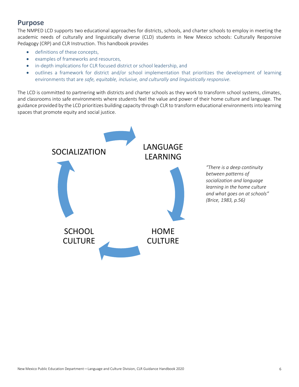# <span id="page-5-0"></span>**Purpose**

The NMPED LCD supports two educational approaches for districts, schools, and charter schools to employ in meeting the academic needs of culturally and linguistically diverse (CLD) students in New Mexico schools: Culturally Responsive Pedagogy (CRP) and CLR Instruction. This handbook provides

- definitions of these concepts,
- examples of frameworks and resources,
- in-depth implications for CLR focused district or school leadership, and
- outlines a framework for district and/or school implementation that prioritizes the development of learning environments that are *safe, equitable, inclusive, and culturally and linguistically responsive.*

The LCD is committed to partnering with districts and charter schools as they work to transform school systems, climates, and classrooms into safe environments where students feel the value and power of their home culture and language. The guidance provided by the LCD prioritizes building capacity through CLR to transform educational environments into learning spaces that promote equity and social justice.



*"There is a deep continuity between patterns of socialization and language learning in the home culture and what goes on at schools" (Brice, 1983, p.56)*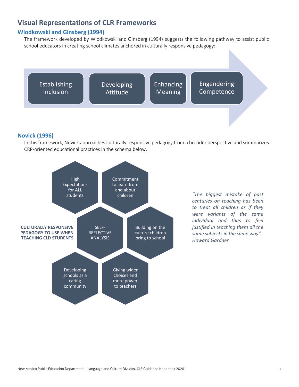# <span id="page-6-0"></span>**Visual Representations of CLR Frameworks**

## <span id="page-6-1"></span>**Wlodkowski and Ginsberg (1994)**

The framework developed by Wlodkowski and Ginsberg (1994) suggests the following pathway to assist public school educators in creating school climates anchored in culturally responsive pedagogy:



#### <span id="page-6-2"></span>**Novick (1996)**

In this framework, Novick approaches culturally responsive pedagogy from a broader perspective and summarizes CRP-oriented educational practices in the schema below.



*"The biggest mistake of past centuries on teaching has been to treat all children as if they were variants of the same individual and thus to feel justified in teaching them all the same subjects in the same way" - Howard Gardner*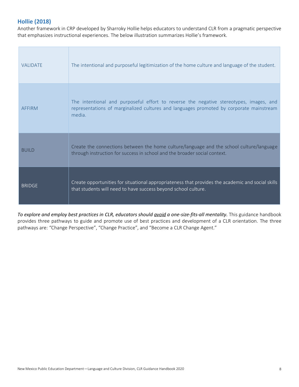## <span id="page-7-0"></span>**Hollie (2018)**

Another framework in CRP developed by Sharroky Hollie helps educators to understand CLR from a pragmatic perspective that emphasizes instructional experiences. The below illustration summarizes Hollie's framework.

| <b>VALIDATE</b> | The intentional and purposeful legitimization of the home culture and language of the student.                                                                                              |
|-----------------|---------------------------------------------------------------------------------------------------------------------------------------------------------------------------------------------|
| <b>AFFIRM</b>   | The intentional and purposeful effort to reverse the negative stereotypes, images, and<br>representations of marginalized cultures and languages promoted by corporate mainstream<br>media. |
| <b>BUILD</b>    | Create the connections between the home culture/language and the school culture/language<br>through instruction for success in school and the broader social context.                       |
| <b>BRIDGE</b>   | Create opportunities for situational appropriateness that provides the academic and social skills<br>that students will need to have success beyond school culture.                         |

*To explore and employ best practices in CLR, educators should avoid a one-size-fits-all mentality.* This guidance handbook provides three pathways to guide and promote use of best practices and development of a CLR orientation. The three pathways are: "Change Perspective", "Change Practice", and "Become a CLR Change Agent."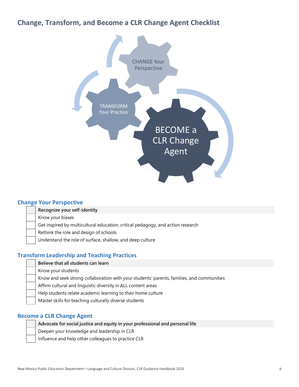# <span id="page-8-0"></span>**Change, Transform, and Become a CLR Change Agent Checklist**



## <span id="page-8-1"></span>**Change Your Perspective**

**Recognize your self-identity**

Know your biases

Get inspired by multicultural education, critical pedagogy, and action research

Rethink the role and design of schools

Understand the role of surface, shallow, and deep culture

## <span id="page-8-2"></span>**Transform Leadership and Teaching Practices**

- **Believe that all students can learn**
- Know your students

Know and seek strong collaboration with your students' parents, families, and communities

Affirm cultural and linguistic diversity in ALL content areas

Help students relate academic learning to their home culture

Master skills for teaching culturally diverse students

#### <span id="page-8-3"></span>**Become a CLR Change Agent**

| Advocate for social justice and equity in your professional and personal life |
|-------------------------------------------------------------------------------|
| Deepen your knowledge and leadership in CLR                                   |
| Influence and help other colleagues to practice CLR                           |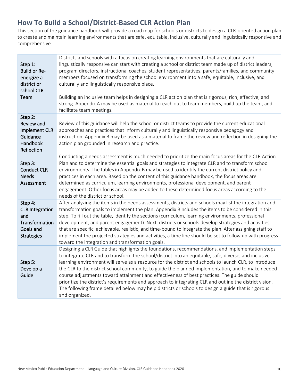# <span id="page-9-0"></span>**How To Build a School/District-Based CLR Action Plan**

This section of the guidance handbook will provide a road map for schools or districts to design a CLR-oriented action plan to create and maintain learning environments that are safe, equitable, inclusive, culturally and linguistically responsive and comprehensive.

| Step 1:<br>Build or Re-<br>energize a<br>district or<br>school CLR<br>Team                   | Districts and schools with a focus on creating learning environments that are culturally and<br>linguistically responsive can start with creating a school or district team made up of district leaders,<br>program directors, instructional coaches, student representatives, parents/families, and community<br>members focused on transforming the school environment into a safe, equitable, inclusive, and<br>culturally and linguistically responsive place.<br>Building an inclusive team helps in designing a CLR action plan that is rigorous, rich, effective, and<br>strong. Appendix A may be used as material to reach out to team members, build up the team, and<br>facilitate team meetings.                                               |
|----------------------------------------------------------------------------------------------|------------------------------------------------------------------------------------------------------------------------------------------------------------------------------------------------------------------------------------------------------------------------------------------------------------------------------------------------------------------------------------------------------------------------------------------------------------------------------------------------------------------------------------------------------------------------------------------------------------------------------------------------------------------------------------------------------------------------------------------------------------|
| Step 2:<br>Review and<br>Implement CLR<br>Guidance<br>Handbook<br>Reflection                 | Review of this guidance will help the school or district teams to provide the current educational<br>approaches and practices that inform culturally and linguistically responsive pedagogy and<br>instruction. Appendix B may be used as a material to frame the review and reflection in designing the<br>action plan grounded in research and practice.                                                                                                                                                                                                                                                                                                                                                                                                 |
| Step 3:<br><b>Conduct CLR</b><br><b>Needs</b><br>Assessment                                  | Conducting a needs assessment is much needed to prioritize the main focus areas for the CLR Action<br>Plan and to determine the essential goals and strategies to integrate CLR and to transform school<br>environments. The tables in Appendix B may be used to identify the current district policy and<br>practices in each area. Based on the content of this guidance handbook, the focus areas are<br>determined as curriculum, learning environments, professional development, and parent<br>engagement. Other focus areas may be added to these determined focus areas according to the<br>needs of the district or school.                                                                                                                       |
| Step 4:<br><b>CLR Integration</b><br>and<br>Transformation<br>Goals and<br><b>Strategies</b> | After analyzing the items in the needs assessments, districts and schools may list the integration and<br>transformation goals to implement the plan. Appendix Bincludes the items to be considered in this<br>step. To fill out the table, identify the sections (curriculum, learning environments, professional<br>development, and parent engagement). Next, districts or schools develop strategies and activities<br>that are specific, achievable, realistic, and time-bound to integrate the plan. After assigning staff to<br>implement the projected strategies and activities, a time line should be set to follow up with progress<br>toward the integration and transformation goals.                                                         |
| Step 5:<br>Develop a<br>Guide                                                                | Designing a CLR Guide that highlights the foundations, recommendations, and implementation steps<br>to integrate CLR and to transform the school/district into an equitable, safe, diverse, and inclusive<br>learning environment will serve as a resource for the district and schools to launch CLR, to introduce<br>the CLR to the district school community, to guide the planned implementation, and to make needed<br>course adjustments toward attainment and effectiveness of best practices. The guide should<br>prioritize the district's requirements and approach to integrating CLR and outline the district vision.<br>The following frame detailed below may help districts or schools to design a guide that is rigorous<br>and organized. |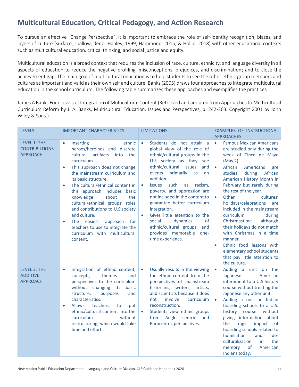# <span id="page-10-0"></span>**Multicultural Education, Critical Pedagogy, and Action Research**

To pursue an effective "Change Perspective", it is important to embrace the role of self-identity recognition, biases, and layers of culture (surface, shallow, deep- Hanley, 1999; Hammond, 2015; & Hollie, 2018) with other educational contexts such as multicultural education, critical thinking, and social justice and equity.

Multicultural education is a broad context that requires the inclusion of race, culture, ethnicity, and language diversity in all aspects of education to reduce the negative profiling, misconceptions, prejudices, and discrimination; and to close the achievement gap. The main goal of multicultural education is to help students to see the other ethnic group members and cultures as important and valid as their own self and culture. Banks (2005) draws four approachesto integrate multicultural education in the school curriculum. The following table summarizes these approaches and exemplifies the practices.

James A Banks Four Levels of Integration of Multicultural Content (Retrieved and adopted from Approaches to Multicultural Curriculum Reform by J. A. Banks, Multicultural Education: Issues and Perspectives, p. 242-263. Copyright 2001 by John Wiley & Sons.)

| <b>LEVELS</b>                                                  | <b>IMPORTANT CHARACTERISTICS</b>                                                                                                                                                                                                                                                                                                                                                                                                                                                                                                                                    | <b>LIMITATIONS</b>                                                                                                                                                                                                                                                                                                                                                                                                                                                                                                                              | EXAMPLES OF INSTRUCTIONAL<br><b>APPROACHES</b>                                                                                                                                                                                                                                                                                                                                                                                                                                                                                                                                                                                      |
|----------------------------------------------------------------|---------------------------------------------------------------------------------------------------------------------------------------------------------------------------------------------------------------------------------------------------------------------------------------------------------------------------------------------------------------------------------------------------------------------------------------------------------------------------------------------------------------------------------------------------------------------|-------------------------------------------------------------------------------------------------------------------------------------------------------------------------------------------------------------------------------------------------------------------------------------------------------------------------------------------------------------------------------------------------------------------------------------------------------------------------------------------------------------------------------------------------|-------------------------------------------------------------------------------------------------------------------------------------------------------------------------------------------------------------------------------------------------------------------------------------------------------------------------------------------------------------------------------------------------------------------------------------------------------------------------------------------------------------------------------------------------------------------------------------------------------------------------------------|
| <b>LEVEL 1: THE</b><br><b>CONTRIBUTIONS</b><br><b>APPROACH</b> | ethnic<br>Inserting<br>$\bullet$<br>heroes/heroines and discrete<br>cultural<br>artifacts<br>the<br>into<br>curriculum.<br>This approach does not change<br>$\bullet$<br>the mainstream curriculum and<br>its basic structure.<br>The cultural/ethnical content in<br>$\bullet$<br>this approach includes basic<br>knowledge<br>about<br>the<br>cultural/ethnical groups' roles<br>and contributions to U.S society<br>and culture.<br>The easiest<br>for<br>approach<br>$\bullet$<br>teachers to use to integrate the<br>curriculum with multicultural<br>content. | Students do not attain a<br>$\bullet$<br>global view of the role of<br>ethnic/cultural groups in the<br>U.S society as they see<br>ethnic/cultural issues<br>and<br>primarily<br>events<br>as<br>an<br>addition.<br><b>Issues</b><br>such<br>as<br>racism,<br>$\bullet$<br>poverty, and oppression are<br>not included in the content to<br>guarantee better curriculum<br>integration.<br>Gives little attention to the<br>$\bullet$<br>of<br>social<br>dynamics<br>ethnic/cultural groups; and<br>provides memorable one-<br>time experience. | <b>Famous Mexican Americans</b><br>$\bullet$<br>are studied only during the<br>week of Cinco de Mayo<br>(May 2).<br>African<br>Americans<br>$\bullet$<br>are<br>studies<br>during<br>African<br>American History Month in<br>February but rarely during<br>the rest of the year.<br>Other<br>cultures'<br>$\bullet$<br>holidays/celebrations<br>are<br>included in the mainstream<br>curriculum<br>during<br>although<br>Christmastime<br>their holidays do not match<br>with Christmas in a time<br>manner.<br>Ethnic food lessons with<br>$\bullet$<br>elementary school students<br>that pay little attention to<br>the culture. |
| LEVEL 2: THE<br><b>ADDITIVE</b><br><b>APPROACH</b>             | Integration of ethnic content,<br>$\bullet$<br>themes<br>concepts,<br>and<br>perspectives to the curriculum<br>without changing<br>its<br>basic<br>structure,<br>purposes<br>and<br>characteristics.<br>teachers<br><b>Allows</b><br>to<br>put<br>$\bullet$<br>ethnic/cultural content into the<br>curriculum<br>without<br>restructuring, which would take<br>time and effort.                                                                                                                                                                                     | Usually results in the viewing<br>$\bullet$<br>the ethnic content from the<br>perspectives of mainstream<br>historians, writers, artists,<br>and scientists because it does<br>involve<br>not<br>curriculum<br>reconstruction.<br>Students view ethnic groups<br>from Anglo<br>centric and<br>Eurocentric perspectives.                                                                                                                                                                                                                         | Adding a unit on the<br>$\bullet$<br>Japanese<br>American<br>internment to a U.S history<br>course without treating the<br>Japanese any other unit.<br>Adding a unit on Indian<br>$\bullet$<br>boarding schools to a U.S.<br>history course<br>without<br>giving information about<br>tragic<br>impact<br>the<br>of<br>boarding schools related to<br>humiliation<br>and<br>de-<br>culturalization<br>the<br>in<br>memory<br>of<br>American<br>Indians today.                                                                                                                                                                       |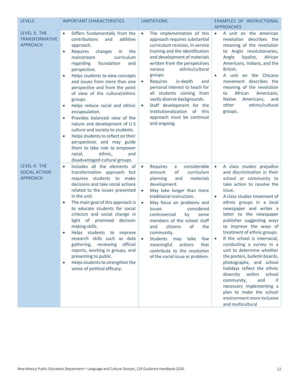| <b>LEVELS</b>                                            | <b>IMPORTANT CHARACTERISTICS</b>                                                                                                                                                                                                                                                                                                                                                                                                                                                                                                                                                                                                                                                                                                                                        | <b>LIMITATIONS</b>                                                                                                                                                                                                                                                                                                                                                                                                                                                                                                                      | EXAMPLES OF INSTRUCTIONAL<br><b>APPROACHES</b>                                                                                                                                                                                                                                                                                                                                                                                                                                                                                                                                                                                                                                                                      |
|----------------------------------------------------------|-------------------------------------------------------------------------------------------------------------------------------------------------------------------------------------------------------------------------------------------------------------------------------------------------------------------------------------------------------------------------------------------------------------------------------------------------------------------------------------------------------------------------------------------------------------------------------------------------------------------------------------------------------------------------------------------------------------------------------------------------------------------------|-----------------------------------------------------------------------------------------------------------------------------------------------------------------------------------------------------------------------------------------------------------------------------------------------------------------------------------------------------------------------------------------------------------------------------------------------------------------------------------------------------------------------------------------|---------------------------------------------------------------------------------------------------------------------------------------------------------------------------------------------------------------------------------------------------------------------------------------------------------------------------------------------------------------------------------------------------------------------------------------------------------------------------------------------------------------------------------------------------------------------------------------------------------------------------------------------------------------------------------------------------------------------|
| LEVEL 3: THE<br><b>TRANSFORMATIVE</b><br><b>APPROACH</b> | Differs fundamentally from the<br>$\bullet$<br>additive<br>contributions<br>and<br>approach.<br><b>Requires</b><br>changes<br>the<br>in.<br>$\bullet$<br>curriculum<br>mainstream<br>regarding<br>foundation<br>and<br>perspective.<br>Helps students to view concepts<br>$\bullet$<br>and issues from more than one<br>perspective and from the point<br>of view of the cultural/ethnic<br>groups.<br>Helps reduce racial and ethnic<br>$\bullet$<br>encapsulation.<br>Provides balanced view of the<br>$\bullet$<br>nature and development of U.S<br>culture and society to students.<br>Helps students to reflect on their<br>$\bullet$<br>perspectives and may guide<br>them to take role to empower<br>ethnic,<br>racial,<br>and<br>disadvantaged cultural groups. | The implementation of this<br>$\bullet$<br>approach requires substantial<br>curriculum revision, in-service<br>training and the identification<br>and development of materials<br>written from the perspectives<br>various<br>ethnic/cultural<br>groups.<br><b>Requires</b><br>in-depth<br>and<br>$\bullet$<br>personal interest to teach for<br>all students coming from<br>vastly diverse backgrounds.<br>Staff development for the<br>$\bullet$<br>institutionalization of<br>this<br>approach must be continual<br>and ongoing.     | A unit on the American<br>$\bullet$<br>revolution describes the<br>meaning of the revolution<br>to Anglo revolutionaries,<br>Anglo<br>loyalist,<br>African<br>Americans, Indians, and the<br>British.<br>A unit on the Chicano<br>$\bullet$<br>movement describes the<br>meaning of the revolution<br>African<br>Americans,<br>to<br><b>Native</b><br>Americans,<br>and<br>other<br>ethnic/cultural<br>groups.                                                                                                                                                                                                                                                                                                      |
| LEVEL 4: THE<br><b>SOCIAL ACTION</b><br><b>APPROACH</b>  | Includes all the elements of<br>$\bullet$<br>transformation approach but<br>requires students to make<br>decisions and take social actions<br>related to the issues presented<br>in the unit.<br>The main goal of this approach is<br>$\bullet$<br>to educate students for social<br>criticism and social change in<br>light of promised<br>decision<br>making skills.<br>Helps students to improve<br>research skills such as data<br>official<br>gathering, reviewing<br>reports, working in groups, and<br>presenting to public.<br>Helps students to strengthen the<br>$\bullet$<br>sense of political efficacy.                                                                                                                                                    | considerable<br><b>Requires</b><br>a<br>$\bullet$<br>of<br>curriculum<br>amount<br>and<br>materials<br>planning<br>development.<br>May take longer than more<br>$\bullet$<br>traditional instruction.<br>May focus on problems and<br>$\bullet$<br>considered<br><b>issues</b><br>controversial<br>by<br>some<br>members of the school staff<br>citizens<br>of<br>the<br>and<br>community.<br>Students may take<br>few<br>$\bullet$<br>meaningful<br>actions<br>that<br>contribute to the resolution<br>of the social issue or problem. | A class studies prejudice<br>$\bullet$<br>and discrimination in their<br>school or community to<br>take action to resolve the<br>issue.<br>A class studies treatment of<br>$\bullet$<br>ethnic groups in a local<br>newspaper and writes a<br>letter to the newspaper<br>publisher suggesting ways<br>to improve the ways of<br>treatment of ethnic groups.<br>If the school is interracial,<br>conducting a survey in a<br>unit to determine whether<br>the posters, bulletin boards,<br>photographs, and school<br>holidays reflect the ethnic<br>diversity within<br>school<br>community,<br>and<br>if<br>necessary implementing a<br>plan to make the school<br>environment more inclusive<br>and multicultural |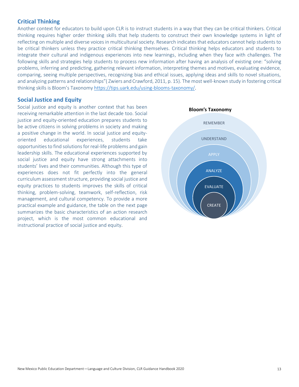## <span id="page-12-0"></span>**Critical Thinking**

Another context for educators to build upon CLR is to instruct students in a way that they can be critical thinkers. Critical thinking requires higher order thinking skills that help students to construct their own knowledge systems in light of reflecting on multiple and diverse voices in multicultural society. Research indicates that educators cannot help students to be critical thinkers unless they practice critical thinking themselves. Critical thinking helps educators and students to integrate their cultural and indigenous experiences into new learnings, including when they face with challenges. The following skills and strategies help students to process new information after having an analysis of existing one: "solving problems, inferring and predicting, gathering relevant information, interpreting themes and motives, evaluating evidence, comparing, seeing multiple perspectives, recognizing bias and ethical issues, applying ideas and skills to novel situations, and analyzing patterns and relationships"( Zwiers and Crawford, 2011, p. 15). The most well-known study in fostering critical thinking skills is Bloom's Taxonom[y https://tips.uark.edu/using-blooms-taxonomy/.](https://tips.uark.edu/using-blooms-taxonomy/)

## <span id="page-12-1"></span>**Social Justice and Equity**

Social justice and equity is another context that has been receiving remarkable attention in the last decade too. Social justice and equity-oriented education prepares students to be active citizens in solving problems in society and making a positive change in the world. In social justice and equityoriented educational experiences, students take opportunities to find solutions for real-life problems and gain leadership skills. The educational experiences supported by social justice and equity have strong attachments into students' lives and their communities. Although this type of experiences does not fit perfectly into the general curriculum assessment structure, providing social justice and equity practices to students improves the skills of critical thinking, problem-solving, teamwork, self-reflection, risk management, and cultural competency. To provide a more practical example and guidance, the table on the next page summarizes the basic characteristics of an action research project, which is the most common educational and instructional practice of social justice and equity.

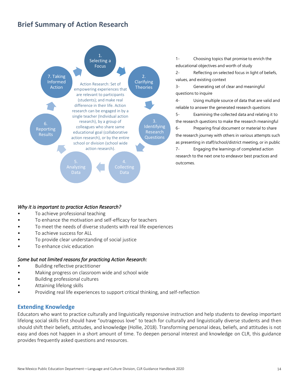# <span id="page-13-0"></span>**Brief Summary of Action Research**



1- Choosing topics that promise to enrich the educational objectives and worth of study

2- Reflecting on selected focus in light of beliefs, values, and existing context

3- Generating set of clear and meaningful questions to inquire

4- Using multiple source of data that are valid and reliable to answer the generated research questions

5- Examining the collected data and relating it to the research questions to make the research meaningful 6- Preparing final document or material to share the research journey with others in various attempts such as presenting in staff/school/district meeting, or in public

7- Engaging the learnings of completed action research to the next one to endeavor best practices and outcomes.

#### *Why it is important to practice Action Research?*

- To achieve professional teaching
- To enhance the motivation and self-efficacy for teachers
- To meet the needs of diverse students with real life experiences
- To achieve success for ALL
- To provide clear understanding of social justice
- To enhance civic education

#### *Some but not limited reasons for practicing Action Research:*

- Building reflective practitioner
- Making progress on classroom wide and school wide
- Building professional cultures
- Attaining lifelong skills
- Providing real life experiences to support critical thinking, and self-reflection

## <span id="page-13-1"></span>**Extending Knowledge**

Educators who want to practice culturally and linguistically responsive instruction and help students to develop important lifelong social skills first should have "outrageous love" to teach for culturally and linguistically diverse students and then should shift their beliefs, attitudes, and knowledge (Hollie, 2018). Transforming personal ideas, beliefs, and attitudes is not easy and does not happen in a short amount of time. To deepen personal interest and knowledge on CLR, this guidance provides frequently asked questions and resources.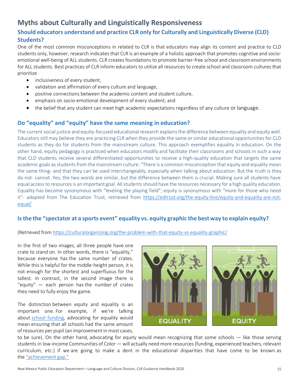# <span id="page-14-0"></span>**Myths about Culturally and Linguistically Responsiveness**

## <span id="page-14-1"></span>**Should educators understand and practice CLR only for Culturally and Linguistically Diverse (CLD) Students?**

One of the most common misconceptions in related to CLR is that educators may align its content and practice to CLD students only, however, research indicates that CLR is an example of a holistic approach that promotes cognitive and socioemotional well-being of ALL students. CLR creates foundations to promote barrier-free school and classroom environments for ALL students. Best practices of CLR inform educators to utilize all resources to create school and classroom cultures that prioritize

- inclusiveness of every student,
- validation and affirmation of every culture and language,
- positive connections between the academic content and student culture,
- emphasis on socio-emotional development of every student, and
- the belief that any student can meet high academic expectations regardless of any culture or language.

## <span id="page-14-2"></span>**Do "equality" and "equity" have the same meaning in education?**

The current social justice and equity-focused educational research explainsthe difference between equality and equity well. Educators still may believe they are practicing CLR when they provide the same or similar educational opportunities for CLD students as they do for students from the mainstream culture. This approach exemplifies equality in education. On the other hand, equity pedagogy is practiced when educators modify and facilitate their classrooms and schools in such a way that CLD students receive several differentiated opportunities to receive a high-quality education that targets the same academic goals as students from the mainstream culture. "There is a common misconception that equity and equality mean the same thing- and that they can be used interchangeably, especially when talking about education. But the truth is they do not- cannot. Yes, the two words are similar, but the difference between them is crucial. Making sure all students have equal access to resources is an important goal. All students should have the resources necessary for a high quality education. Equality has become synonymous with "leveling the playing field"; equity is synonymous with "more for those who need it"- adapted from The Education Trust, retrieved from [https://edtrust.org/the-equity-line/equity-and-equality-are-not](https://edtrust.org/the-equity-line/equity-and-equality-are-not-equal/)[equal/](https://edtrust.org/the-equity-line/equity-and-equality-are-not-equal/)

## <span id="page-14-3"></span>**Is the the "spectator at a sports event" equality vs. equity graphic the best way to explain equity?**

## (Retrieved from<https://culturalorganizing.org/the-problem-with-that-equity-vs-equality-graphic/>

In the first of two images, all three people have one crate to stand on. In other words, there is "equality," because everyone has the same number of crates. While this is helpful for the middle-height person, it is not enough for the shortest and superfluous for the tallest. In contrast, in the second image there is "equity"  $-$  each person has the number of crates they need to fully enjoy the game.

The distinction between equity and equality is an important one. For example, if we're talking about [school funding,](https://edtrust.org/the-equity-line/equity-and-equality-are-not-equal/) advocating for equality would mean ensuring that all schools had the same amount of resources per pupil (an improvement in most cases,



to be sure). On the other hand, advocating for equity would mean recognizing that some schools — like those serving students in low-income Communities of Color — will actually need more resources (funding, experienced teachers, relevant curriculum, etc.) if we are going to make a dent in the educational disparities that have come to be known as the ["achievement gap."](https://en.wikipedia.org/wiki/Achievement_gap_in_the_United_States)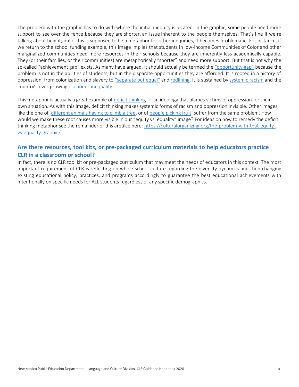The problem with the graphic has to do with where the initial inequity is located. In the graphic, some people need more support to see over the fence because they are shorter, an issue inherent to the people themselves. That's fine if we're talking about height, but if this is supposed to be a metaphor for other inequities, it becomes problematic. For instance, if we return to the school funding example, this image implies that students in low-income Communities of Color and other marginalized communities need more resources in their schools because they are inherently less academically capable. They (or their families, or their communities) are metaphorically "shorter" and need more support. But that is not why the so-called "achievement gap" exists. As many have argued, it should actually be termed the ["opportunity gap"](http://schottfoundation.org/issues/opportunity-gap/talking-points) because the problem is not in the abilities of students, but in the disparate opportunities they are afforded. It is rooted in a history of oppression, from colonization and slavery to ["separate but equal"](https://en.wikipedia.org/wiki/Separate_but_equal) and [redlining.](http://www.theatlantic.com/business/archive/2014/05/the-racist-housing-policy-that-made-your-neighborhood/371439/) It is sustained by [systemic racism](https://www.raceforward.org/videos/systemic-racism) and the country's ever-growing [economic inequality.](https://www.washingtonpost.com/news/wonk/wp/2016/07/01/income-inequality-today-may-be-the-highest-since-the-nations-founding/)

This metaphor is actually a great example of [deficit thinking](https://radicalscholarship.wordpress.com/category/deficit-thinking/)  $-$  an ideology that blames victims of oppression for their own situation. As with this image, deficit thinking makes systemic forms of racism and oppression invisible. Other images, like the one of [different animals having to climb a tree,](http://inclusiveeducation.weebly.com/uploads/1/6/7/2/16724178/3159376.png?500) or of [people picking fruit,](https://s-media-cache-ak0.pinimg.com/originals/d7/3d/06/d73d06e297a8d90ce7eb6a9312059ec6.jpg) suffer from the same problem. How would we make these root causes more visible in our "equity vs. equality" image? For ideas on how to remedy the deficit thinking metaphor see the remainder of this aretilce here: [https://culturalorganizing.org/the-problem-with-that-equity](https://culturalorganizing.org/the-problem-with-that-equity-vs-equality-graphic/)[vs-equality-graphic/](https://culturalorganizing.org/the-problem-with-that-equity-vs-equality-graphic/)

## <span id="page-15-0"></span>**Are there resources, tool kits, or pre-packaged curriculum materials to help educators practice CLR in a classroom or school?**

In fact, there is no CLR tool kit or pre-packaged curriculum that may meet the needs of educators in this context. The most important requirement of CLR is reflecting on whole school culture regarding the diversity dynamics and then changing existing educational policy, practices, and programs accordingly to guarantee the best educational achievements with intentionally on specific needs for ALL students regardless of any specific demographics.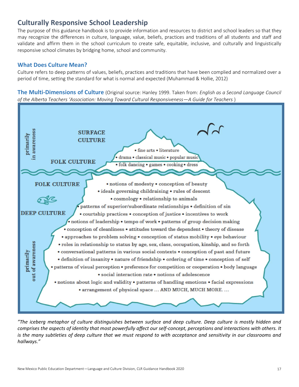# <span id="page-16-0"></span>**Culturally Responsive School Leadership**

The purpose of this guidance handbook is to provide information and resources to district and school leaders so that they may recognize the differences in culture, language, value, beliefs, practices and traditions of all students and staff and validate and affirm them in the school curriculum to create safe, equitable, inclusive, and culturally and linguistically responsive school climates by bridging home, school and community.

## <span id="page-16-1"></span>**What Does Culture Mean?**

Culture refers to deep patterns of values, beliefs, practices and traditions that have been complied and normalized over a period of time, setting the standard for what is normal and expected (Muhammad & Hollie, 2012)

<span id="page-16-2"></span>**The Multi-Dimensions of Culture** (Original source: Hanley 1999. Taken from: *English as a Second Language Council of the Alberta Teachers 'Association: Moving Toward Cultural Responsiveness—A Guide for Teachers* )



*"The iceberg metaphor of culture distinguishes between surface and deep culture. Deep culture is mostly hidden and comprises the aspects of identity that most powerfully affect our self-concept, perceptions and interactions with others. It is the many subtleties of deep culture that we must respond to with acceptance and sensitivity in our classrooms and hallways."*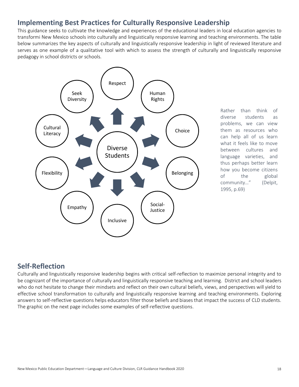# <span id="page-17-0"></span>**Implementing Best Practices for Culturally Responsive Leadership**

This guidance seeks to cultivate the knowledge and experiences of the educational leaders in local education agencies to transformi New Mexico schools into culturally and linguistically responsive learning and teaching environments. The table below summarizes the key aspects of culturally and linguistically responsive leadership in light of reviewed literature and serves as one example of a qualitative tool with which to assess the strength of culturally and linguistically responsive pedagogy in school districts or schools.



Rather than think of diverse students as problems, we can view them as resources who can help all of us learn what it feels like to move between cultures and language varieties, and thus perhaps better learn how you become citizens of the global community…" (Delpit, 1995, p.69)

# <span id="page-17-1"></span>**Self-Reflection**

Culturally and linguistically responsive leadership begins with critical self-reflection to maximize personal integrity and to be cognizant of the importance of culturally and linguistically responsive teaching and learning. District and school leaders who do not hesitate to change their mindsets and reflect on their own cultural beliefs, views, and perspectives will yield to effective school transformation to culturally and linguistically responsive learning and teaching environments. Exploring answers to self-reflective questions helps educators filter those beliefs and biases that impact the success of CLD students. The graphic on the next page includes some examples of self-reflective questions.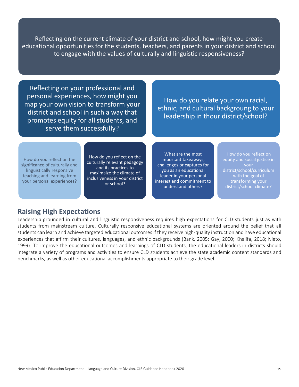Reflecting on the current climate of your district and school, how might you create educational opportunities for the students, teachers, and parents in your district and school to engage with the values of culturally and linguistic responsiveness?

Reflecting on your professional and personal experiences, how might you map your own vision to transform your district and school in such a way that promotes equity for all students, and serve them successfully?

How do you relate your own racial, ethnic, and cultural backgroung to your leadership in thour district/school?

How do you reflect on the significance of culturally and linguistically responsive teaching and learning from your personal experiences?

How do you reflect on the culturally relevant pedagogy and its practices to maximaize the climate of inclusiveness in your district or school?

What are the most important takeaways, challenges or captures for you as an educational leader in your personal interest and commitment to understand others?

How do you reflect on equity and social justice in district/school/curriculum with the goal of transforming your district/school climate?

## <span id="page-18-0"></span>**Raising High Expectations**

Leadership grounded in cultural and linguistic responsiveness requires high expectations for CLD students just as with students from mainstream culture. Culturally responsive educational systems are oriented around the belief that all students can learn and achieve targeted educational outcomes if they receive high-quality instruction and have educational experiences that affirm their cultures, languages, and ethnic backgrounds (Bank, 2005; Gay, 2000; Khalifa, 2018; Nieto, 1999). To improve the educational outcomes and learnings of CLD students, the educational leaders in districts should integrate a variety of programs and activities to ensure CLD students achieve the state academic content standards and benchmarks, as well as other educational accomplishments appropriate to their grade level.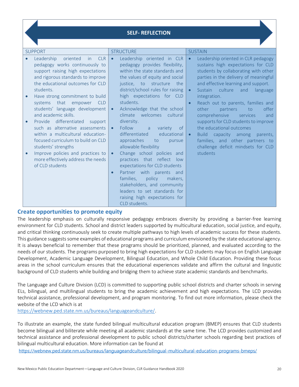## **SELF- REFLECTION**

|                        | <b>SUPPORT</b>                                                                                                                                                                                                                                                                                  | <b>STRUCTURE</b>                                                                                                                                                                                                                                                                                      | <b>SUSTAIN</b>                                                                                                                                                                                                                                                                                                                                  |  |  |
|------------------------|-------------------------------------------------------------------------------------------------------------------------------------------------------------------------------------------------------------------------------------------------------------------------------------------------|-------------------------------------------------------------------------------------------------------------------------------------------------------------------------------------------------------------------------------------------------------------------------------------------------------|-------------------------------------------------------------------------------------------------------------------------------------------------------------------------------------------------------------------------------------------------------------------------------------------------------------------------------------------------|--|--|
| $\bullet$              | Leadership<br>oriented<br><b>CLR</b><br><i>in</i><br>pedagogy works continuously to<br>support raising high expectations<br>and rigorous standards to improve<br>the educational outcomes for CLD<br>students.                                                                                  | Leadership oriented in CLR<br>$\bullet$<br>pedagogy provides flexibility,<br>within the state standards and<br>the values of equity and social<br>justice, to<br>structure<br>the<br>district/school rules for raising                                                                                | Leadership oriented in CLR pedagogy<br>$\bullet$<br>sustains high expectations for CLD<br>students by collaborating with other<br>parties in the delivery of meaningful<br>and effective learning and support.<br>Sustain culture<br>and<br>language<br>$\bullet$                                                                               |  |  |
| $\bullet$<br>$\bullet$ | Have strong commitment to build<br>systems that empower CLD<br>students' language development<br>and academic skills.<br>Provide differentiated<br>support<br>such as alternative assessments<br>within a multicultural education-<br>focused curriculum to build on CLD<br>students' strengths | high expectations for CLD<br>students.<br>Acknowledge that the school<br>$\bullet$<br>welcomes cultural<br>climate<br>diversity.<br>Follow<br>$\bullet$<br>$\overline{a}$<br>variety<br>of<br>differentiated<br>educational<br>approaches<br>to<br>pursue<br>allowable flexibility                    | integration.<br>Reach out to parents, families and<br>$\bullet$<br>other<br>offer<br>partners<br>to<br>comprehensive<br>services<br>and<br>supports for CLD students to improve<br>the educational outcomes<br>capacity among<br><b>Build</b><br>parents,<br>$\bullet$<br>families, and other partners to<br>challenge deficit mindsets for CLD |  |  |
| $\bullet$              | Improve policies and practices to<br>more effectively address the needs<br>of CLD students                                                                                                                                                                                                      | Change school policies and<br>$\bullet$<br>practices that reflect<br>low<br>expectations for CLD students<br>Partner with parents and<br>$\bullet$<br>families.<br>policy<br>makers,<br>stakeholders, and community<br>leaders to set standards for<br>raising high expectations for<br>CLD students. | students                                                                                                                                                                                                                                                                                                                                        |  |  |

## <span id="page-19-0"></span>**Create opportunities to promote equity**

The leadership emphasis on culturally responsive pedagogy embraces diversity by providing a barrier-free learning environment for CLD students. School and district leaders supported by multicultural education, social justice, and equity, and critical thinking continuously seek to create multiple pathways to high levels of academic success for these students. This guidance suggests some examples of educational programs and curriculum envisioned by the state educational agency. It is always beneficial to remember that these programs should be prioritized, planned, and evaluated according to the needs of our students. The programs purposed to bring high expectations for CLD students may focus on English Language Development, Academic Language Development, Bilingual Education, and Whole Child Education. Providing these focus areas in the school curriculum ensures that the educational experiences validate and affirm the cultural and linguistic background of CLD students while building and bridging them to achieve state academic standards and benchmarks.

The Language and Culture Division (LCD) is committed to supporting public school districts and charter schools in serving ELs, bilingual, and multilingual students to bring the academic achievement and high expectations. The LCD provides technical assistance, professional development, and program monitoring. To find out more information, please check the website of the LCD which is at

[https://webnew.ped.state.nm.us/bureaus/languageandculture/.](https://webnew.ped.state.nm.us/bureaus/languageandculture/)

To illustrate an example, the state funded bilingual multicultural education program (BMEP) ensures that CLD students become bilingual and biliterate while meeting all academic standards at the same time. The LCD provides customized and technical assistance and professional development to public school districts/charter schools regarding best practices of bilingual multicultural education. More information can be found at

<https://webnew.ped.state.nm.us/bureaus/languageandculture/bilingual-multicultural-education-programs-bmeps/>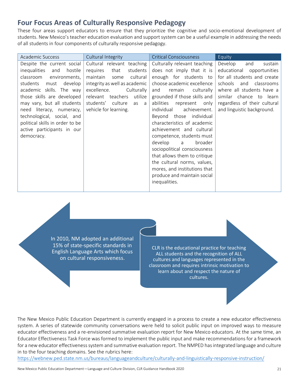# <span id="page-20-0"></span>**Four Focus Areas of Culturally Responsive Pedagogy**

These four areas support educators to ensure that they prioritize the cognitive and socio-emotional development of students. New Mexico's teacher education evaluation and support system can be a useful example in addressing the needs of all students in four components of culturally responsive pedagogy.

| Academic Success                | Cultural Integrity            | <b>Critical Consciousness</b>        | Equity                       |
|---------------------------------|-------------------------------|--------------------------------------|------------------------------|
| Despite the current social      | Cultural relevant teaching    | Culturally relevant teaching         | Develop<br>and<br>sustain    |
| inequalities<br>and<br>hostile  | that<br>students<br>requires  | does not imply that it is            | educational<br>opportunities |
| classroom<br>environments,      | cultural<br>maintain<br>some  | enough for students to               | for all students and create  |
| develop<br>students<br>must     | integrity as well as academic | choose academic excellence           | schools<br>and<br>classrooms |
| academic skills. The way        | excellence.<br>Culturally     | culturally<br>and<br>remain          | where all students have a    |
| those skills are developed      | relevant teachers<br>utilize  | grounded if those skills and         | similar chance to learn      |
| may vary, but all students      | students' culture<br>as a     | abilities<br>represent<br>only       | regardless of their cultural |
| need literacy, numeracy,        | vehicle for learning.         | individual<br>achievement.           | and linguistic background.   |
| technological, social, and      |                               | Beyond those individual              |                              |
| political skills in order to be |                               | characteristics of academic          |                              |
| active participants in our      |                               | achievement and cultural             |                              |
| democracy.                      |                               | competence, students must            |                              |
|                                 |                               | develop<br>broader<br>$\overline{a}$ |                              |
|                                 |                               | sociopolitical consciousness         |                              |
|                                 |                               | that allows them to critique         |                              |
|                                 |                               | the cultural norms, values,          |                              |
|                                 |                               | mores, and institutions that         |                              |
|                                 |                               | produce and maintain social          |                              |
|                                 |                               | inequalities.                        |                              |
|                                 |                               |                                      |                              |

In 2010, NM adopted an additional 15% of state-specific standards in English Language Arts which focus on cultural responsiveness.

CLR is the educational practice for teaching ALL students and the recognition of ALL cultures and languages represented in the classroom and requires intrinsic motivation to learn about and respect the nature of cultures.

The New Mexico Public Education Department is currently engaged in a process to create a new educator effectiveness system. A series of statewide community conversations were held to solicit public input on improved ways to measure educator effectiveness and a re-envisioned summative evaluation report for New Mexico educators. At the same time, an Educator Effectiveness Task Force was formed to implement the public input and make recommendations for a framework for a new educator effectiveness system and summative evaluation report. The NMPED has integrated language and culture in to the four teaching domains. See the rubrics here:

<https://webnew.ped.state.nm.us/bureaus/languageandculture/culturally-and-linguistically-responsive-instruction/>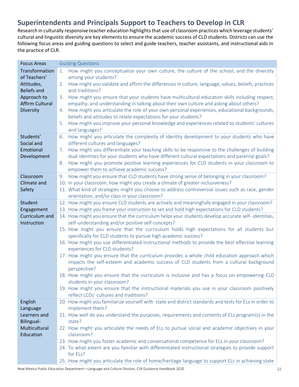# <span id="page-21-0"></span>**Superintendents and Principals Support to Teachers to Develop in CLR**

Research in culturally responsive teacher education highlights that use of classroom practices which leverage students' cultural and linguistic diversity are key elements to ensure the academic success of CLD students. Districts can use the following focus areas and guiding questions to select and guide teachers, teacher assistants, and instructional aids in the practice of CLR.

| <b>Guiding Questions</b><br><b>Focus Areas</b>                                                                                                              |                      |  |  |
|-------------------------------------------------------------------------------------------------------------------------------------------------------------|----------------------|--|--|
| Transformation<br>How might you conceptualize your own culture, the culture of the school, and the diversity<br>1.                                          |                      |  |  |
| of Teachers'                                                                                                                                                | among your students? |  |  |
| How might you validate and affirm the differences in culture, language, values, beliefs, practices<br>Attitudes,<br>2.                                      |                      |  |  |
| and traditions?<br><b>Beliefs and</b>                                                                                                                       |                      |  |  |
| How might you ensure that your students have multicultural education skills including respect,<br>Approach to<br>3.                                         |                      |  |  |
| <b>Affirm Cultural</b><br>empathy, and understanding in talking about their own culture and asking about others?                                            |                      |  |  |
| How might you articulate the role of your own personal experiences, educational backgrounds,<br>Diversity<br>4.                                             |                      |  |  |
| beliefs and attitudes to relate expectations for your students?                                                                                             |                      |  |  |
| How might you improve your personal knowledge and experiences related to students' cultures<br>5.                                                           |                      |  |  |
| and languages?                                                                                                                                              |                      |  |  |
| How might you articulate the complexity of identity development to your students who have<br>Students'<br>6.                                                |                      |  |  |
| different cultures and languages?<br>Social and                                                                                                             |                      |  |  |
| 7. How might you differentiate your teaching skills to be responsive to the challenges of building<br>Emotional                                             |                      |  |  |
| dual identities for your students who have different cultural expectations and parental goals?<br>Development                                               |                      |  |  |
| How might you promote positive learning experiences for CLD students in your classroom to<br>8.                                                             |                      |  |  |
| empower them to achieve academic success?                                                                                                                   |                      |  |  |
| How might you ensure that CLD students have strong sense of belonging in your classroom?<br>Classroom<br>9.                                                 |                      |  |  |
| 10. In your classroom, how might you create a climate of greater inclusiveness?<br>Climate and                                                              |                      |  |  |
| 11. What kind of strategies might you choose to address controversial issues such as race, gender<br>Safety<br>orientation, and/or class in your classroom? |                      |  |  |
| 12. How might you ensure CLD students are actively and meaningfully engaged in your classroom?<br>Student                                                   |                      |  |  |
| 13. How might you frame your instruction to set and hold high expectations for CLD students?<br>Engagement                                                  |                      |  |  |
| 14. How might you ensure that the curriculum helps your students develop accurate self-identities,<br>Curriculum and                                        |                      |  |  |
| Instruction<br>self-understanding and/or positive self-concepts?                                                                                            |                      |  |  |
| 15. How might you ensure that the curriculum holds high expectations for all students but                                                                   |                      |  |  |
| specifically for CLD students to pursue high academic success?                                                                                              |                      |  |  |
| 16. How might you use differentiated instructional methods to provide the best effective learning                                                           |                      |  |  |
| experiences for CLD students?                                                                                                                               |                      |  |  |
| 17. How might you ensure that the curriculum provides a whole child education approach which                                                                |                      |  |  |
| impacts the self-esteem and academic success of CLD students from a cultural background                                                                     |                      |  |  |
| perspective?                                                                                                                                                |                      |  |  |
| 18. How might you ensure that the curriculum is inclusive and has a focus on empowering CLD                                                                 |                      |  |  |
| students in your classroom?                                                                                                                                 |                      |  |  |
| 19. How might you ensure that the instructional materials you use in your classroom positively                                                              |                      |  |  |
| reflect LCDs' cultures and traditions?                                                                                                                      |                      |  |  |
| 20. How might you familiarize yourself with state and district standards and tests for ELs in order to<br>English                                           |                      |  |  |
| implement them?<br>Language                                                                                                                                 |                      |  |  |
| 21. How well do you understand the purposes, requirements and contents of ELs program(s) in the<br>Learners and                                             |                      |  |  |
| Bilingual-<br>state?                                                                                                                                        |                      |  |  |
|                                                                                                                                                             |                      |  |  |
| Multicultural<br>22. How might you articulate the needs of ELs to pursue social and academic objectives in your                                             |                      |  |  |
| Education<br>classroom?                                                                                                                                     |                      |  |  |
| 23. How might you foster academic and conversational competence for ELs in your classroom?                                                                  |                      |  |  |
| 24. To what extent are you familiar with differentiated instructional strategies to provide support<br>for ELs?                                             |                      |  |  |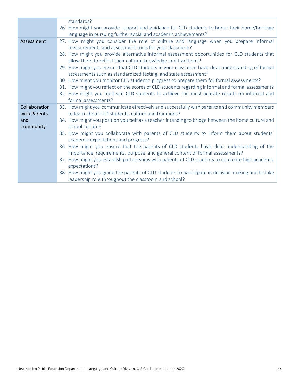|               | standards?                                                                                        |
|---------------|---------------------------------------------------------------------------------------------------|
|               | 26. How might you provide support and guidance for CLD students to honor their home/heritage      |
|               | language in pursuing further social and academic achievements?                                    |
| Assessment    | 27. How might you consider the role of culture and language when you prepare informal             |
|               | measurements and assessment tools for your classroom?                                             |
|               | 28. How might you provide alternative informal assessment opportunities for CLD students that     |
|               | allow them to reflect their cultural knowledge and traditions?                                    |
|               | 29. How might you ensure that CLD students in your classroom have clear understanding of formal   |
|               | assessments such as standardized testing, and state assessment?                                   |
|               | 30. How might you monitor CLD students' progress to prepare them for formal assessments?          |
|               | 31. How might you reflect on the scores of CLD students regarding informal and formal assessment? |
|               | 32. How might you motivate CLD students to achieve the most acurate results on informal and       |
|               | formal assessments?                                                                               |
| Collaboration | 33. How might you communicate effectively and successfully with parents and community members     |
| with Parents  | to learn about CLD students' culture and traditions?                                              |
| and           | 34. How might you position yourself as a teacher intending to bridge between the home culture and |
| Community     | school culture?                                                                                   |
|               | 35. How might you collaborate with parents of CLD students to inform them about students'         |
|               | academic expectations and progress?                                                               |
|               | 36. How might you ensure that the parents of CLD students have clear understanding of the         |
|               | importance, requirements, purpose, and general content of formal assessments?                     |
|               | 37. How might you establish partnerships with parents of CLD students to co-create high academic  |
|               | expectations?                                                                                     |
|               | 38. How might you guide the parents of CLD students to participate in decision-making and to take |
|               | leadership role throughout the classroom and school?                                              |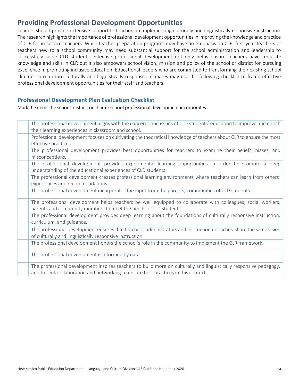# <span id="page-23-0"></span>**Providing Professional Development Opportunities**

Leaders should provide extensive support to teachers in implementing culturally and linguistically responsive instruction. The research highlights the importance of professional development opportunities in improving the knowledge and practice of CLR for in-service teachers. While teacher preparation programs may have an emphasis on CLR, first-year teachers or teachers new to a school community may need substantial support for the school administration and leadership to successfully serve CLD students. Effective professional development not only helps ensure teachers have requisite knowledge and skills in CLR but it also empowers school vision, mission and policy of the school or district for pursuing excellence in promoting inclusive education. Educational leaders who are committed to transforming their existing school climates into a more culturally and linguistically responsive climates may use the following checklist to frame effective professional development opportunities for their staff and teachers.

## <span id="page-23-1"></span>**Professional Development Plan Evaluation Checklist**

Mark the items the school, district, or charter school professional development incorporates.

| The professional development aligns with the concerns and issues of CLD students' education to improve and enrich                                                                |
|----------------------------------------------------------------------------------------------------------------------------------------------------------------------------------|
| their learning experiences in classroom and school.                                                                                                                              |
| Professional development focuses on cultivating the theoretical knowledge of teachers about CLR to ensure the most                                                               |
| effective practices.                                                                                                                                                             |
| The professional development provides best opportunities for teachers to examine their beliefs, biases, and<br>misconceptions.                                                   |
|                                                                                                                                                                                  |
| The professional development provides experimental learning opportunities in order to promote a deep<br>understanding of the educational experiences of CLD students.            |
| The professional development creates professional learning environments where teachers can learn from others'<br>experiences and recommendations.                                |
| The professional development incorporates the input from the parents, communities of CLD students.                                                                               |
| The professional development helps teachers be well equipped to collaborate with colleagues, social workers,<br>parents and community members to meet the needs of CLD students. |
|                                                                                                                                                                                  |
| The professional development provides deep learning about the foundations of culturally responsive instruction,<br>curriculum, and guidance.                                     |
| The professional development ensures that teachers, administrators and instructional coaches share the same vision                                                               |
| of culturally and linguistically responsive instruction.                                                                                                                         |
| The professional development honors the school's role in the community to implement the CLR framework.                                                                           |
| The professional development is informed by data.                                                                                                                                |
| The professional development inspires teachers to build more on culturally and linguistically responsive pedagogy,                                                               |
| and to seek collaboration and networking to ensure best practices in this context.                                                                                               |
|                                                                                                                                                                                  |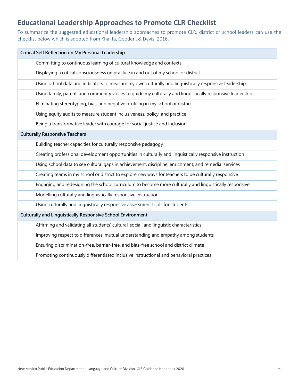# <span id="page-24-0"></span>**Educational Leadership Approaches to Promote CLR Checklist**

To summarize the suggested educational leadership approaches to promote CLR, district or school leaders can use the checklist below which is adopted from Khalifa, Gooden, & Davis, 2016.

| Critical Self Reflection on My Personal Leadership |                                                                                                            |  |  |
|----------------------------------------------------|------------------------------------------------------------------------------------------------------------|--|--|
|                                                    | Committing to continuous learning of cultural knowledge and contexts                                       |  |  |
|                                                    | Displaying a critical consciousness on practice in and out of my school or district                        |  |  |
|                                                    | Using school data and indicators to measure my own culturally and linguistically responsive leadership     |  |  |
|                                                    | Using family, parent, and community voices to quide my culturally and linguistically responsive leadership |  |  |
|                                                    | Eliminating stereotyping, bias, and negative profiling in my school or district                            |  |  |
|                                                    | Using equity audits to measure student inclusiveness, policy, and practice                                 |  |  |
|                                                    | Being a transformative leader with courage for social justice and inclusion                                |  |  |
|                                                    | <b>Culturally Responsive Teachers</b>                                                                      |  |  |
|                                                    | Building teacher capacities for culturally responsive pedagogy                                             |  |  |
|                                                    | Creating professional development opportunities in culturally and linguistically responsive instruction    |  |  |
|                                                    | Using school data to see cultural gaps in achievement, discipline, enrichment, and remedial services       |  |  |
|                                                    | Creating teams in my school or district to explore new ways for teachers to be culturally responsive       |  |  |
|                                                    | Engaging and redesigning the school curriculum to become more culturally and linguistically responsive     |  |  |
|                                                    | Modelling culturally and linguistically responsive instruction                                             |  |  |
|                                                    | Using culturally and linguistically responsive assessment tools for students                               |  |  |
|                                                    | Culturally and Linguistically Responsive School Environment                                                |  |  |
|                                                    | Affirming and validating all students' cultural, social, and linguistic characteristics                    |  |  |
|                                                    | Improving respect to differences, mutual understanding and empathy among students                          |  |  |
|                                                    | Ensuring discrimination-free, barrier-free, and bias-free school and district climate                      |  |  |
|                                                    | Promoting continuously differentiated inclusive instructional and behavioral practices                     |  |  |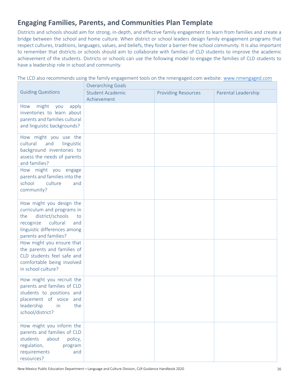# <span id="page-25-0"></span>**Engaging Families, Parents, and Communities Plan Template**

Districts and schools should aim for strong, in-depth, and effective family engagement to learn from families and create a bridge between the school and home culture. When district or school leaders design family engagement programs that respect cultures, traditions, languages, values, and beliefs, they foster a barrier-free school community. It is also important to remember that districts or schools should aim to collaborate with families of CLD students to improve the academic achievement of the students. Districts or schools can use the following model to engage the families of CLD students to have a leadership role in school and community.

The LCD also recommends using the family engagement tools on the nmengaged.com website: [www.nmengaged.com](http://www.nmengaged.com/)

|                                                                                                                                                                                  | <b>Overarching Goals</b>               |                            |                     |  |  |
|----------------------------------------------------------------------------------------------------------------------------------------------------------------------------------|----------------------------------------|----------------------------|---------------------|--|--|
| <b>Guiding Questions</b>                                                                                                                                                         | <b>Student Academic</b><br>Achievement | <b>Providing Resources</b> | Parental Leadership |  |  |
| apply<br>might<br>you<br>How<br>inventories to learn about<br>parents and families cultural<br>and linguistic backgrounds?                                                       |                                        |                            |                     |  |  |
| How might you use the<br>cultural<br>and<br>linguistic<br>background inventories to<br>assess the needs of parents<br>and families?                                              |                                        |                            |                     |  |  |
| How might you engage<br>parents and families into the<br>school<br>culture<br>and<br>community?                                                                                  |                                        |                            |                     |  |  |
| How might you design the<br>curriculum and programs in<br>district/schools<br>the<br>to<br>cultural<br>recognize<br>and<br>linguistic differences among<br>parents and families? |                                        |                            |                     |  |  |
| How might you ensure that<br>the parents and families of<br>CLD students feel safe and<br>comfortable being involved<br>in school culture?                                       |                                        |                            |                     |  |  |
| How might you recruit the<br>parents and families of CLD<br>students to positions and<br>placement of voice and<br>leadership<br>the<br>in<br>school/district?                   |                                        |                            |                     |  |  |
| How might you inform the<br>parents and families of CLD<br>students<br>about<br>policy,<br>regulation,<br>program<br>requirements<br>and<br>resources?                           |                                        |                            |                     |  |  |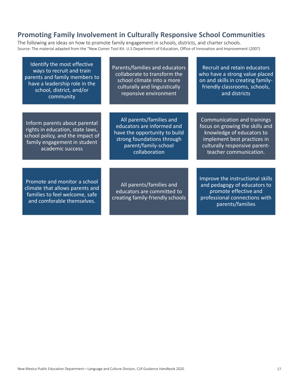# <span id="page-26-0"></span>**Promoting Family Involvement in Culturally Responsive School Communities**

The following are ideas on how to promote family engagement in schools, districts, and charter schools. Source: The material adapted from the "New Comer Tool Kit- U.S Department of Education, Office of Innovation and Improvement (2007)

| Identify the most effective<br>ways to recruit and train<br>parents and family members to<br>have a leadership role in the<br>school, district, and/or<br>community | Parents/families and educators<br>collaborate to transform the<br>school climate into a more<br>culturally and linguistically<br>reponsive environment         | Recruit and retain educators<br>who have a strong value placed<br>on and skills in creating family-<br>friendly classrooms, schools,<br>and districts                                 |
|---------------------------------------------------------------------------------------------------------------------------------------------------------------------|----------------------------------------------------------------------------------------------------------------------------------------------------------------|---------------------------------------------------------------------------------------------------------------------------------------------------------------------------------------|
|                                                                                                                                                                     |                                                                                                                                                                |                                                                                                                                                                                       |
| Inform parents about parental<br>rights in education, state laws,<br>school policy, and the impact of<br>family engagement in student<br>academic success           | All parents/families and<br>educators are informed and<br>have the opportunity to build<br>strong foundations through<br>parent/family-school<br>collaboration | Communication and trainings<br>focus on growing the skills and<br>knowledge of educators to<br>implement best practices in<br>culturally responsive parent-<br>teacher communication. |
|                                                                                                                                                                     |                                                                                                                                                                |                                                                                                                                                                                       |
| Promote and monitor a school<br>climate that allows parents and<br>families to feel welcome, safe<br>and comforable themselves.                                     | All parents/families and<br>educators are committed to<br>creating family-friendly schools                                                                     | Improve the instructional skills<br>and pedagogy of educators to<br>promote effective and<br>professional connections with<br>parents/families                                        |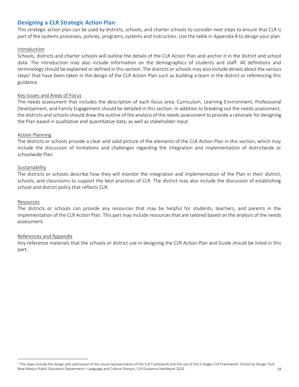## <span id="page-27-0"></span>**Designing a CLR Strategic Action Plan**

This strategic action plan can be used by districts, schools, and charter schools to consider next steps to ensure that CLR is part of the systems processes, policies, programs, systems and instruction. Use the table in Appendix B to design your plan.

#### Introduction

Schools, districts and charter schools will outline the details of the CLR Action Plan and anchor it in the district and school data. The introduction may also include information on the demographics of students and staff. All definitions and terminology should be explained or defined in this section. The districts or schools may also include details about the various steps<sup>1</sup> that have been taken in the design of the CLR Action Plan such as building a team in the district or referencing this guidance.

#### Key Issues and Areas of Focus

The needs assessment that includes the description of each focus area: Curriculum, Learning Environment, Professional Development, and Family Engagement should be detailed in this section. In addition to breaking out the needs assessment, the districts and schools should draw the outline of the analysis of the needs assessment to provide a rationale for designing the Plan based in qualitative and quantitative data, as well as stakeholder input.

#### Action Planning

The districts or schools provide a clear and solid picture of the elements of the CLR Action Plan in this section, which may include the discussion of limitations and challenges regarding the integration and implementation of districtwide or schoolwide Plan.

#### Sustainability

The districts or schools describe how they will monitor the integration and implementation of the Plan in their district, schools, and classrooms to support the best practices of CLR. The district may also include the discussion of establishing school and district policy that reflects CLR.

#### Resources

The districts or schools can provide any resources that may be helpful for students, teachers, and parents in the implementation of the CLR Action Plan. This part may include resources that are tailored based on the analysis of the needs assessment.

#### References and Appendix

Any reference materials that the schools or district use in designing the CLR Action Plan and Guide should be listed in this part.

New Mexico Public Education Department—Language and Culture Division, CLR Guidance Handbook 2020 28  $1$  The steps include the design and submission of the visual representation of the CLR Framework and the use of the 5-Stages CLR Framework: School by Design Tool.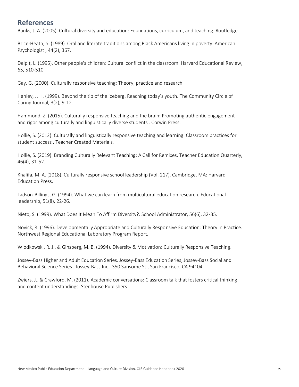# <span id="page-28-0"></span>**References**

Banks, J. A. (2005). Cultural diversity and education: Foundations, curriculum, and teaching. Routledge.

Brice-Heath, S. (1989). Oral and literate traditions among Black Americans living in poverty. American Psychologist , 44(2), 367.

Delpit, L. (1995). Other people's children: Cultural conflict in the classroom. Harvard Educational Review, 65, 510-510.

Gay, G. (2000). Culturally responsive teaching: Theory, practice and research.

Hanley, J. H. (1999). Beyond the tip of the iceberg. Reaching today's youth. The Community Circle of Caring Journal, 3(2), 9-12.

Hammond, Z. (2015). Culturally responsive teaching and the brain: Promoting authentic engagement and rigor among culturally and linguistically diverse students . Corwin Press.

Hollie, S. (2012). Culturally and linguistically responsive teaching and learning: Classroom practices for student success . Teacher Created Materials.

Hollie, S. (2019). Branding Culturally Relevant Teaching: A Call for Remixes. Teacher Education Quarterly, 46(4), 31-52.

Khalifa, M. A. (2018). Culturally responsive school leadership (Vol. 217). Cambridge, MA: Harvard Education Press.

Ladson-Billings, G. (1994). What we can learn from multicultural education research. Educational leadership, 51(8), 22-26.

Nieto, S. (1999). What Does It Mean To Affirm Diversity?. School Administrator, 56(6), 32-35.

Novick, R. (1996). Developmentally Appropriate and Culturally Responsive Education: Theory in Practice. Northwest Regional Educational Laboratory Program Report.

Wlodkowski, R. J., & Ginsberg, M. B. (1994). Diversity & Motivation: Culturally Responsive Teaching.

Jossey-Bass Higher and Adult Education Series. Jossey-Bass Education Series, Jossey-Bass Social and Behavioral Science Series . Jossey-Bass Inc., 350 Sansome St., San Francisco, CA 94104.

Zwiers, J., & Crawford, M. (2011). Academic conversations: Classroom talk that fosters critical thinking and content understandings. Stenhouse Publishers.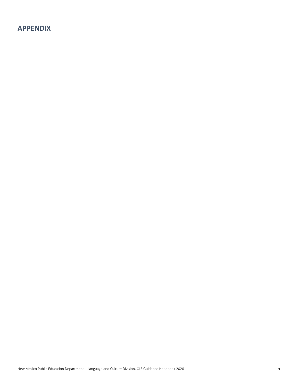# <span id="page-29-0"></span>**APPENDIX**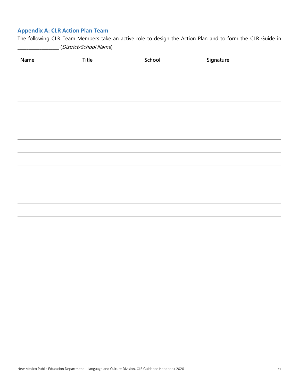## <span id="page-30-0"></span>**Appendix A: CLR Action Plan Team**

The following CLR Team Members take an active role to design the Action Plan and to form the CLR Guide in \_\_\_\_\_\_\_\_\_\_\_\_\_\_\_\_\_\_\_ (District/School Name)

| Name | Title | School | Signature |  |
|------|-------|--------|-----------|--|
|      |       |        |           |  |
|      |       |        |           |  |
|      |       |        |           |  |
|      |       |        |           |  |
|      |       |        |           |  |
|      |       |        |           |  |
|      |       |        |           |  |
|      |       |        |           |  |
|      |       |        |           |  |
|      |       |        |           |  |
|      |       |        |           |  |
|      |       |        |           |  |
|      |       |        |           |  |
|      |       |        |           |  |
|      |       |        |           |  |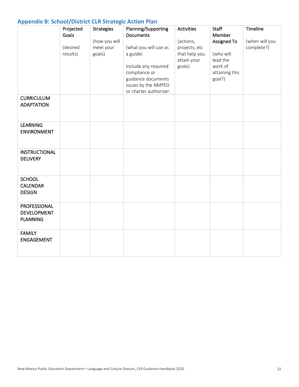## <span id="page-31-0"></span>**Appendix B: School/District CLR Strategic Action Plan**

| . .                                                   | Projected<br>Goals<br>(desired<br>results) | <b>Strategies</b><br>(how you will<br>meet your<br>goals) | Planning/Supporting<br><b>Documents</b><br>(what you will use as<br>a guide)<br>Include any required | Activities<br>(actions,<br>projects, etc<br>that help you<br>attain your<br>goals) | <b>Staff</b><br>Member<br>Assigned To<br>(who will<br>lead the<br>work of | Timeline<br>(when will you<br>complete?) |
|-------------------------------------------------------|--------------------------------------------|-----------------------------------------------------------|------------------------------------------------------------------------------------------------------|------------------------------------------------------------------------------------|---------------------------------------------------------------------------|------------------------------------------|
|                                                       |                                            |                                                           | compliance or<br>guidance documents<br>issues by the NMPED<br>or charter authorizer.                 |                                                                                    | attaining this<br>goal?)                                                  |                                          |
| <b>CURRICULUM</b><br><b>ADAPTATION</b>                |                                            |                                                           |                                                                                                      |                                                                                    |                                                                           |                                          |
| <b>LEARNING</b><br><b>ENVIRONMENT</b>                 |                                            |                                                           |                                                                                                      |                                                                                    |                                                                           |                                          |
| <b>INSTRUCTIONAL</b><br><b>DELIVERY</b>               |                                            |                                                           |                                                                                                      |                                                                                    |                                                                           |                                          |
| <b>SCHOOL</b><br><b>CALENDAR</b><br><b>DESIGN</b>     |                                            |                                                           |                                                                                                      |                                                                                    |                                                                           |                                          |
| PROFESSIONAL<br><b>DEVELOPMENT</b><br><b>PLANNING</b> |                                            |                                                           |                                                                                                      |                                                                                    |                                                                           |                                          |
| <b>FAMILY</b><br><b>ENGAGEMENT</b>                    |                                            |                                                           |                                                                                                      |                                                                                    |                                                                           |                                          |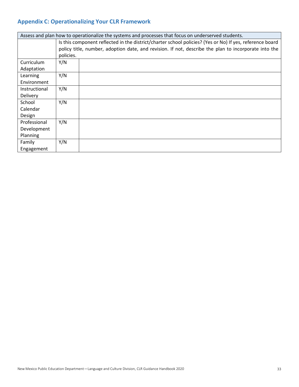## <span id="page-32-0"></span>**Appendix C: Operationalizing Your CLR Framework**

| Assess and plan how to operationalize the systems and processes that focus on underserved students. |                                                                                                          |  |  |  |
|-----------------------------------------------------------------------------------------------------|----------------------------------------------------------------------------------------------------------|--|--|--|
|                                                                                                     | Is this component reflected in the district/charter school policies? (Yes or No) If yes, reference board |  |  |  |
|                                                                                                     | policy title, number, adoption date, and revision. If not, describe the plan to incorporate into the     |  |  |  |
|                                                                                                     | policies.                                                                                                |  |  |  |
| Curriculum                                                                                          | Y/N                                                                                                      |  |  |  |
| Adaptation                                                                                          |                                                                                                          |  |  |  |
| Learning                                                                                            | Y/N                                                                                                      |  |  |  |
| Environment                                                                                         |                                                                                                          |  |  |  |
| Instructional                                                                                       | Y/N                                                                                                      |  |  |  |
| Delivery                                                                                            |                                                                                                          |  |  |  |
| School                                                                                              | Y/N                                                                                                      |  |  |  |
| Calendar                                                                                            |                                                                                                          |  |  |  |
| Design                                                                                              |                                                                                                          |  |  |  |
| Professional                                                                                        | Y/N                                                                                                      |  |  |  |
| Development                                                                                         |                                                                                                          |  |  |  |
| Planning                                                                                            |                                                                                                          |  |  |  |
| Family                                                                                              | Y/N                                                                                                      |  |  |  |
| Engagement                                                                                          |                                                                                                          |  |  |  |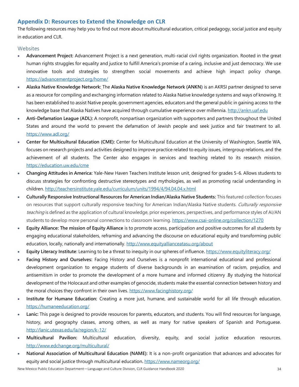## <span id="page-33-0"></span>**Appendix D: Resources to Extend the Knowledge on CLR**

The following resources may help you to find out more about multicultural education, critical pedagogy, social justice and equity in education and CLR.

#### <span id="page-33-1"></span>Websites

- **Advancement Project:** Advancement Project is a next generation, multi-racial civil rights organization. Rooted in the great human rights struggles for equality and justice to fulfill America's promise of a caring, inclusive and just democracy. We use innovative tools and strategies to strengthen social movements and achieve high impact policy change. <https://advancementproject.org/home/>
- **Alaska Native Knowledge Network:** The **Alaska Native Knowledge Network (ANKN)** is an AKRSI partner designed to serve as a resource for compiling and exchanging information related to Alaska Native knowledge systems and ways of knowing. It has been established to assist Native people, government agencies, educators and the general public in gaining access to the knowledge base that Alaska Natives have acquired through cumulative experience over millennia[. http://ankn.uaf.edu](http://ankn.uaf.edu/)
- **Anti-Defamation League (ADL):** A nonprofit, nonpartisan organization with supporters and partners throughout the United States and around the world to prevent the defamation of Jewish people and seek justice and fair treatment to all. <https://www.adl.org/>
- **Center for Multicultural Education (CME):** Center for Multicultural Education at the University of Washington, Seattle WA, focuses on research projects and activities designed to improve practice related to equity issues, intergroup relations, and the achievement of all students. The Center also engages in services and teaching related to its research mission. <https://education.uw.edu/cme>
- **Changing Attitudes in America:** Yale-New Haven Teachers Institute lesson unit, designed for grades 5-6. Allows students to discuss strategies for confronting destructive stereotypes and mythologies, as well as promoting racial understanding in children[. http://teachersinstitute.yale.edu/curriculum/units/1994/4/94.04.04.x.html](http://teachersinstitute.yale.edu/curriculum/units/1994/4/94.04.04.x.html)
- **Culturally Responsive Instructional Resources for American Indian/Alaska Native Students:** This featured collection focuses on resources that support culturally responsive teaching for American Indian/Alaska Native students. Culturally responsive teaching is defined as the application of cultural knowledge, prior experiences, perspectives, and performance styles of AI/AN students to develop more personal connections to classroom learning.<https://www.csai-online.org/collection/1270>
- **Equity Alliance: The mission of Equity Alliance** is to promote access, participation and positive outcomes for all students by engaging educational stakeholders, reframing and advancing the discourse on educational equity and transforming public education, locally, nationally and internationally.<http://www.equityallianceatasu.org/about>
- **Equity Literacy Institute**: Learning to be a threat to inequity in our spheres of influence**.** <https://www.equityliteracy.org/>
- **Facing History and Ourselves:** Facing History and Ourselves is a nonprofit international educational and professional development organization to engage students of diverse backgrounds in an examination of racism, prejudice, and antisemitism in order to promote the development of a more humane and informed citizenry .By studying the historical development of the Holocaust and other examples of genocide, students make the essential connection between history and the moral choices they confront in their own lives.<https://www.facinghistory.org/>
- **Institute for Humane Education:** Creating a more just, humane, and sustainable world for all life through education. <https://humaneeducation.org/>
- **Lanic:** This page is designed to provide resources for parents, educators, and students. You will find resources for language, history, and geography classes, among others, as well as many for native speakers of Spanish and Portuguese. <http://lanic.utexas.edu/la/region/k-12/>
- **Multicultural Pavilion:** Multicultural education, diversity, equity, and social justice education resources. <http://www.edchange.org/multicultural/>
- **National Association of Multicultural Education (NAME):** It is a non-profit organization that advances and advocates for equity and social justice through multicultural education**.** <https://www.nameorg.org/>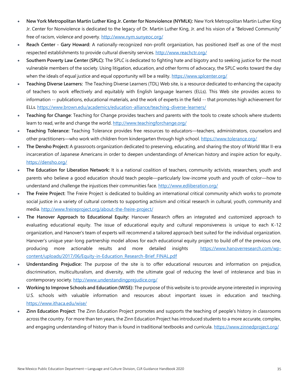- **New York Metropolitan Martin Luther King Jr. Center for Nonviolence (NYMLK):** New York Metropolitan Martin Luther King Jr. Center for Nonviolence is dedicated to the legacy of Dr. Martin Luther King, Jr. and his vision of a "Beloved Community" free of racism, violence and poverty. <http://www.nym.sunyeoc.org/>
- **Reach Center - Gary Howard:** A nationally-recognized non-profit organization, has positioned itself as one of the most respected establishments to provide cultural diversity services.<http://www.reachctr.org/>
- **Southern Poverty Law Center (SPLC):** The SPLC is dedicated to fighting hate and bigotry and to seeking justice for the most vulnerable members of the society. Using litigation, education, and other forms of advocacy, the SPLC works toward the day when the ideals of equal justice and equal opportunity will be a reality[. https://www.splcenter.org/](https://www.splcenter.org/)
- **Teaching Diverse Learners:** The Teaching Diverse Learners (TDL) Web site, is a resource dedicated to enhancing the capacity of teachers to work effectively and equitably with English language learners (ELLs). This Web site provides access to information -- publications, educational materials, and the work of experts in the field -- that promotes high achievement for ELLs[. https://www.brown.edu/academics/education-alliance/teaching-diverse-learners/](https://www.brown.edu/academics/education-alliance/teaching-diverse-learners/)
- **Teaching for Change**: Teaching for Change provides teachers and parents with the tools to create schools where students learn to read, write and change the world.<http://www.teachingforchange.org/>
- **Teaching Tolerance:** Teaching Tolerance provides free resources to educators—teachers, administrators, counselors and other practitioners—who work with children from kindergarten through high school[. https://www.tolerance.org/](https://www.tolerance.org/)
- **The Densho Project:** A grassroots organization dedicated to preserving, educating, and sharing the story of World War II-era incarceration of Japanese Americans in order to deepen understandings of American history and inspire action for equity**.**  <https://densho.org/>
- **The Education for Liberation Network:** It is a national coalition of teachers, community activists, researchers, youth and parents who believe a good education should teach people—particularly low-income youth and youth of color—how to understand and challenge the injustices their communities face.<http://www.edliberation.org/>
- **The Freire Project:** The Freire Project is dedicated to building an international critical community which works to promote social justice in a variety of cultural contexts to supporting activism and critical research in cultural, youth, community and media[. http://www.freireproject.org/about-the-freire-project/](http://www.freireproject.org/about-the-freire-project/)
- **The Hanover Approach to Educational Equity:** Hanover Research offers an integrated and customized approach to evaluating educational equity. The issue of educational equity and cultural responsiveness is unique to each K-12 organization, and Hanover's team of experts will recommend a tailored approach best suited for the individual organization. Hanover's unique year-long partnership model allows for each educational equity project to build off of the previous one, producing more actionable results and more detailed insights [https://www.hanoverresearch.com/wp](https://www.hanoverresearch.com/wp-content/uploads/2017/06/Equity-in-Education_Research-Brief_FINAL.pdf)[content/uploads/2017/06/Equity-in-Education\\_Research-Brief\\_FINAL.pdf](https://www.hanoverresearch.com/wp-content/uploads/2017/06/Equity-in-Education_Research-Brief_FINAL.pdf)
- **Understanding Prejudice:** The purpose of the site is to offer educational resources and information on prejudice, discrimination, multiculturalism, and diversity, with the ultimate goal of reducing the level of intolerance and bias in contemporary society.<http://www.understandingprejudice.org/>
- **Working to Improve Schools and Education (WISE):** The purpose of this website is to provide anyone interested in improving U.S. schools with valuable information and resources about important issues in education and teaching. <https://www.ithaca.edu/wise/>
- **Zinn Education Project**: The Zinn Education Project promotes and supports the teaching of people's history in classrooms across the country. For more than ten years, the Zinn Education Project has introduced students to a more accurate, complex, and engaging understanding of history than is found in traditional textbooks and curricula.<https://www.zinnedproject.org/>